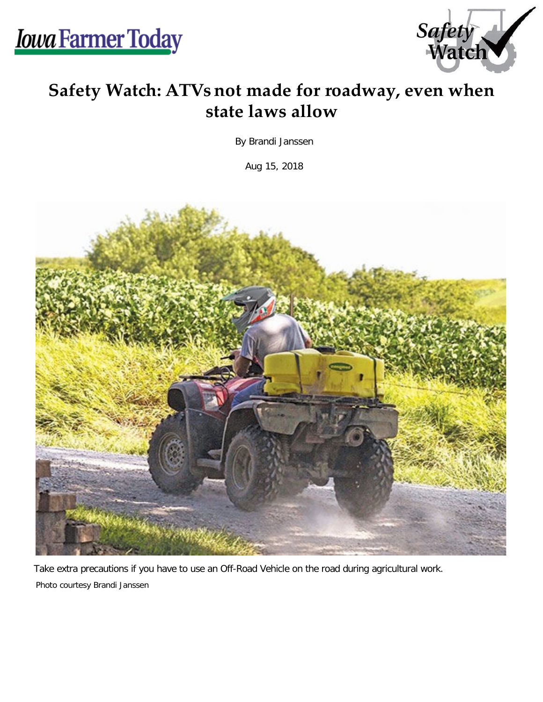

## **Safety Watch: ATVs not made for roadway, even when state laws allow**

By Brandi Janssen

Aug 15, 2018



Take extra precautions if you have to use an Off-Road Vehicle on the road during agricultural work. Photo courtesy Brandi Janssen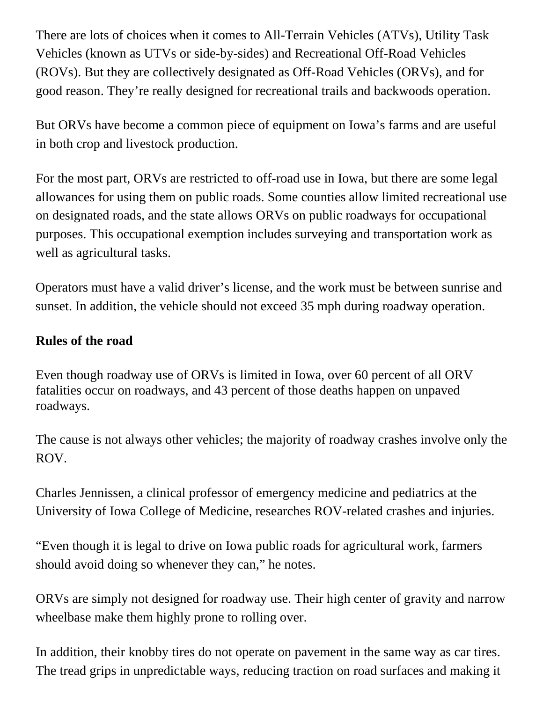There are lots of choices when it comes to All-Terrain Vehicles (ATVs), Utility Task Vehicles (known as UTVs or side-by-sides) and Recreational Off-Road Vehicles (ROVs). But they are collectively designated as Off-Road Vehicles (ORVs), and for good reason. They're really designed for recreational trails and backwoods operation.

But ORVs have become a common piece of equipment on Iowa's farms and are useful in both crop and livestock production.

For the most part, ORVs are restricted to off-road use in Iowa, but there are some legal allowances for using them on public roads. Some counties allow limited recreational use on designated roads, and the state allows ORVs on public roadways for occupational purposes. This occupational exemption includes surveying and transportation work as well as agricultural tasks.

Operators must have a valid driver's license, and the work must be between sunrise and sunset. In addition, the vehicle should not exceed 35 mph during roadway operation.

## **Rules of the road**

Even though roadway use of ORVs is limited in Iowa, over 60 percent of all ORV fatalities occur on roadways, and 43 percent of those deaths happen on unpaved roadways.

The cause is not always other vehicles; the majority of roadway crashes involve only the ROV.

Charles Jennissen, a clinical professor of emergency medicine and pediatrics at the University of Iowa College of Medicine, researches ROV-related crashes and injuries.

"Even though it is legal to drive on Iowa public roads for agricultural work, farmers should avoid doing so whenever they can," he notes.

ORVs are simply not designed for roadway use. Their high center of gravity and narrow wheelbase make them highly prone to rolling over.

In addition, their knobby tires do not operate on pavement in the same way as car tires. The tread grips in unpredictable ways, reducing traction on road surfaces and making it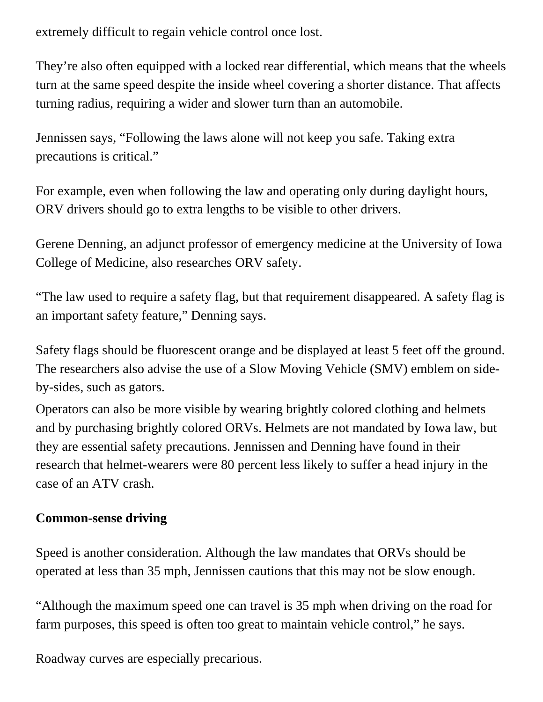extremely difficult to regain vehicle control once lost.

They're also often equipped with a locked rear differential, which means that the wheels turn at the same speed despite the inside wheel covering a shorter distance. That affects turning radius, requiring a wider and slower turn than an automobile.

Jennissen says, "Following the laws alone will not keep you safe. Taking extra precautions is critical."

For example, even when following the law and operating only during daylight hours, ORV drivers should go to extra lengths to be visible to other drivers.

Gerene Denning, an adjunct professor of emergency medicine at the University of Iowa College of Medicine, also researches ORV safety.

"The law used to require a safety flag, but that requirement disappeared. A safety flag is an important safety feature," Denning says.

Safety flags should be fluorescent orange and be displayed at least 5 feet off the ground. The researchers also advise the use of a Slow Moving Vehicle (SMV) emblem on sideby-sides, such as gators.

Operators can also be more visible by wearing brightly colored clothing and helmets and by purchasing brightly colored ORVs. Helmets are not mandated by Iowa law, but they are essential safety precautions. Jennissen and Denning have found in their research that helmet-wearers were 80 percent less likely to suffer a head injury in the case of an ATV crash.

## **Common-sense driving**

Speed is another consideration. Although the law mandates that ORVs should be operated at less than 35 mph, Jennissen cautions that this may not be slow enough.

"Although the maximum speed one can travel is 35 mph when driving on the road for farm purposes, this speed is often too great to maintain vehicle control," he says.

Roadway curves are especially precarious.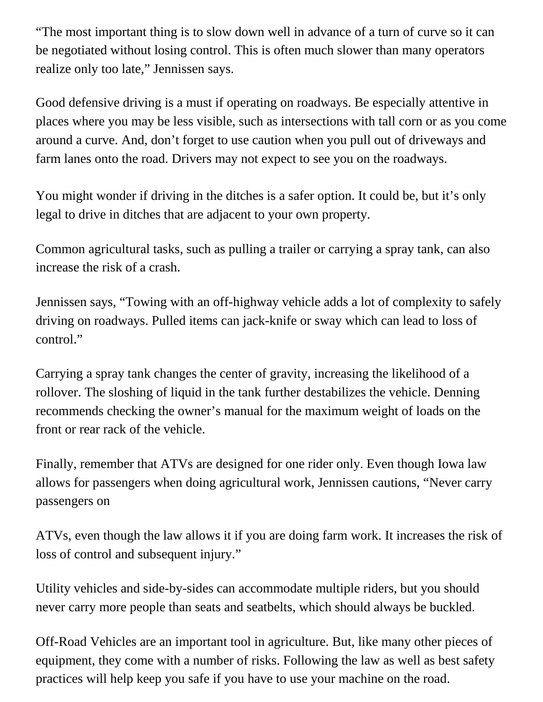"The most important thing is to slow down well in advance of a turn of curve so it can be negotiated without losing control. This is often much slower than many operators realize only too late," Jennissen says.

Good defensive driving is a must if operating on roadways. Be especially attentive in places where you may be less visible, such as intersections with tall corn or as you come around a curve. And, don't forget to use caution when you pull out of driveways and farm lanes onto the road. Drivers may not expect to see you on the roadways.

You might wonder if driving in the ditches is a safer option. It could be, but it's only legal to drive in ditches that are adjacent to your own property.

Common agricultural tasks, such as pulling a trailer or carrying a spray tank, can also increase the risk of a crash.

Jennissen says, "Towing with an off-highway vehicle adds a lot of complexity to safely driving on roadways. Pulled items can jack-knife or sway which can lead to loss of control."

Carrying a spray tank changes the center of gravity, increasing the likelihood of a rollover. The sloshing of liquid in the tank further destabilizes the vehicle. Denning recommends checking the owner's manual for the maximum weight of loads on the front or rear rack of the vehicle.

Finally, remember that ATVs are designed for one rider only. Even though Iowa law allows for passengers when doing agricultural work, Jennissen cautions, "Never carry passengers on

ATVs, even though the law allows it if you are doing farm work. It increases the risk of loss of control and subsequent injury."

Utility vehicles and side-by-sides can accommodate multiple riders, but you should never carry more people than seats and seatbelts, which should always be buckled.

Off-Road Vehicles are an important tool in agriculture. But, like many other pieces of equipment, they come with a number of risks. Following the law as well as best safety practices will help keep you safe if you have to use your machine on the road.